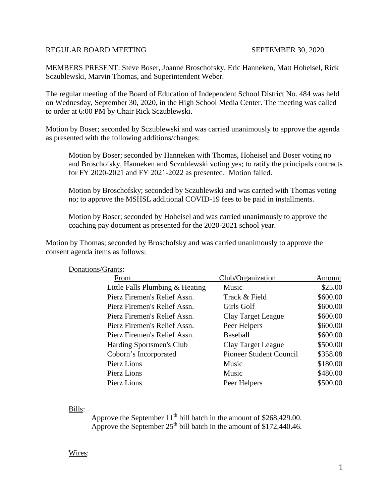## REGULAR BOARD MEETING SEPTEMBER 30, 2020

MEMBERS PRESENT: Steve Boser, Joanne Broschofsky, Eric Hanneken, Matt Hoheisel, Rick Sczublewski, Marvin Thomas, and Superintendent Weber.

The regular meeting of the Board of Education of Independent School District No. 484 was held on Wednesday, September 30, 2020, in the High School Media Center. The meeting was called to order at 6:00 PM by Chair Rick Sczublewski.

Motion by Boser; seconded by Sczublewski and was carried unanimously to approve the agenda as presented with the following additions/changes:

Motion by Boser; seconded by Hanneken with Thomas, Hoheisel and Boser voting no and Broschofsky, Hanneken and Sczublewski voting yes; to ratify the principals contracts for FY 2020-2021 and FY 2021-2022 as presented. Motion failed.

Motion by Broschofsky; seconded by Sczublewski and was carried with Thomas voting no; to approve the MSHSL additional COVID-19 fees to be paid in installments.

Motion by Boser; seconded by Hoheisel and was carried unanimously to approve the coaching pay document as presented for the 2020-2021 school year.

Motion by Thomas; seconded by Broschofsky and was carried unanimously to approve the consent agenda items as follows:

| From                            | Club/Organization         | Amount   |
|---------------------------------|---------------------------|----------|
| Little Falls Plumbing & Heating | Music                     | \$25.00  |
| Pierz Firemen's Relief Assn.    | Track & Field             | \$600.00 |
| Pierz Firemen's Relief Assn.    | Girls Golf                | \$600.00 |
| Pierz Firemen's Relief Assn.    | <b>Clay Target League</b> | \$600.00 |
| Pierz Firemen's Relief Assn.    | Peer Helpers              | \$600.00 |
| Pierz Firemen's Relief Assn.    | <b>Baseball</b>           | \$600.00 |
| Harding Sportsmen's Club        | Clay Target League        | \$500.00 |
| Coborn's Incorporated           | Pioneer Student Council   | \$358.08 |
| Pierz Lions                     | Music                     | \$180.00 |
| Pierz Lions                     | Music                     | \$480.00 |
| Pierz Lions                     | Peer Helpers              | \$500.00 |

## Donations/Grants:

Bills:

Approve the September  $11<sup>th</sup>$  bill batch in the amount of \$268,429.00. Approve the September  $25^{th}$  bill batch in the amount of \$172,440.46.

## Wires: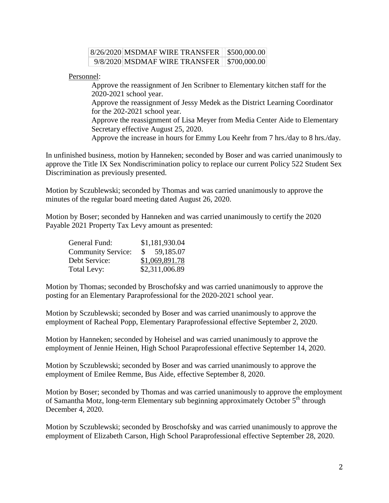| 8/26/2020 MSDMAF WIRE TRANSFER   \$500,000.00 |  |
|-----------------------------------------------|--|
| 9/8/2020 MSDMAF WIRE TRANSFER   \$700,000.00  |  |

Personnel:

Approve the reassignment of Jen Scribner to Elementary kitchen staff for the 2020-2021 school year.

Approve the reassignment of Jessy Medek as the District Learning Coordinator for the 202-2021 school year.

Approve the reassignment of Lisa Meyer from Media Center Aide to Elementary Secretary effective August 25, 2020.

Approve the increase in hours for Emmy Lou Keehr from 7 hrs./day to 8 hrs./day.

In unfinished business, motion by Hanneken; seconded by Boser and was carried unanimously to approve the Title IX Sex Nondiscrimination policy to replace our current Policy 522 Student Sex Discrimination as previously presented.

Motion by Sczublewski; seconded by Thomas and was carried unanimously to approve the minutes of the regular board meeting dated August 26, 2020.

Motion by Boser; seconded by Hanneken and was carried unanimously to certify the 2020 Payable 2021 Property Tax Levy amount as presented:

| General Fund:             | \$1,181,930.04  |
|---------------------------|-----------------|
| <b>Community Service:</b> | 59,185.07<br>S. |
| Debt Service:             | \$1,069,891.78  |
| Total Levy:               | \$2,311,006.89  |

Motion by Thomas; seconded by Broschofsky and was carried unanimously to approve the posting for an Elementary Paraprofessional for the 2020-2021 school year.

Motion by Sczublewski; seconded by Boser and was carried unanimously to approve the employment of Racheal Popp, Elementary Paraprofessional effective September 2, 2020.

Motion by Hanneken; seconded by Hoheisel and was carried unanimously to approve the employment of Jennie Heinen, High School Paraprofessional effective September 14, 2020.

Motion by Sczublewski; seconded by Boser and was carried unanimously to approve the employment of Emilee Remme, Bus Aide, effective September 8, 2020.

Motion by Boser; seconded by Thomas and was carried unanimously to approve the employment of Samantha Motz, long-term Elementary sub beginning approximately October 5<sup>th</sup> through December 4, 2020.

Motion by Sczublewski; seconded by Broschofsky and was carried unanimously to approve the employment of Elizabeth Carson, High School Paraprofessional effective September 28, 2020.